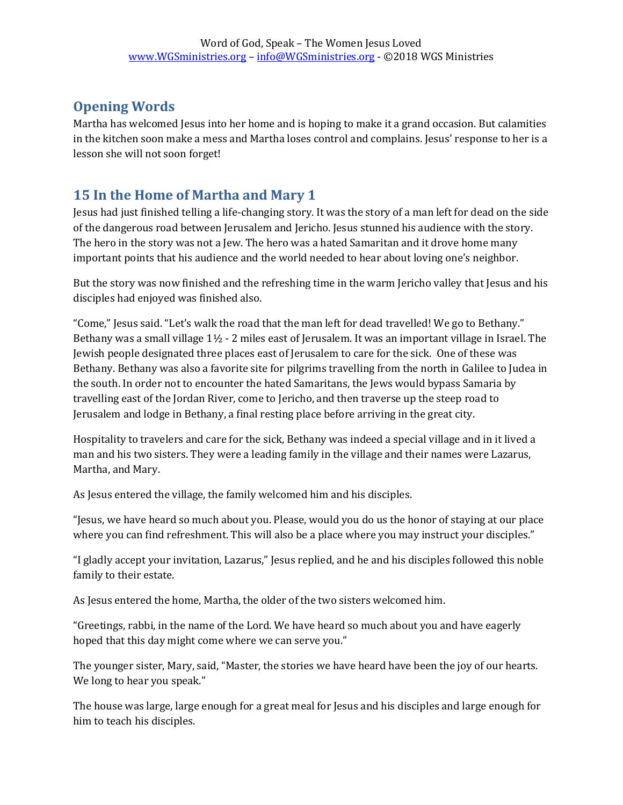# **Opening Words**

Martha has welcomed Jesus into her home and is hoping to make it a grand occasion. But calamities in the kitchen soon make a mess and Martha loses control and complains. Jesus' response to her is a lesson she will not soon forget!

# **15 In the Home of Martha and Mary 1**

Jesus had just finished telling a life-changing story. It was the story of a man left for dead on the side of the dangerous road between Jerusalem and Jericho. Jesus stunned his audience with the story. The hero in the story was not a Jew. The hero was a hated Samaritan and it drove home many important points that his audience and the world needed to hear about loving one's neighbor.

But the story was now finished and the refreshing time in the warm Jericho valley that Jesus and his disciples had enjoyed was finished also.

"Come," Jesus said. "Let's walk the road that the man left for dead travelled! We go to Bethany." Bethany was a small village 1½ - 2 miles east of Jerusalem. It was an important village in Israel. The Jewish people designated three places east of Jerusalem to care for the sick. One of these was Bethany. Bethany was also a favorite site for pilgrims travelling from the north in Galilee to Judea in the south. In order not to encounter the hated Samaritans, the Jews would bypass Samaria by travelling east of the Jordan River, come to Jericho, and then traverse up the steep road to Jerusalem and lodge in Bethany, a final resting place before arriving in the great city.

Hospitality to travelers and care for the sick, Bethany was indeed a special village and in it lived a man and his two sisters. They were a leading family in the village and their names were Lazarus, Martha, and Mary.

As Jesus entered the village, the family welcomed him and his disciples.

"Jesus, we have heard so much about you. Please, would you do us the honor of staying at our place where you can find refreshment. This will also be a place where you may instruct your disciples."

"I gladly accept your invitation, Lazarus," Jesus replied, and he and his disciples followed this noble family to their estate.

As Jesus entered the home, Martha, the older of the two sisters welcomed him.

"Greetings, rabbi, in the name of the Lord. We have heard so much about you and have eagerly hoped that this day might come where we can serve you."

The younger sister, Mary, said, "Master, the stories we have heard have been the joy of our hearts. We long to hear you speak."

The house was large, large enough for a great meal for Jesus and his disciples and large enough for him to teach his disciples.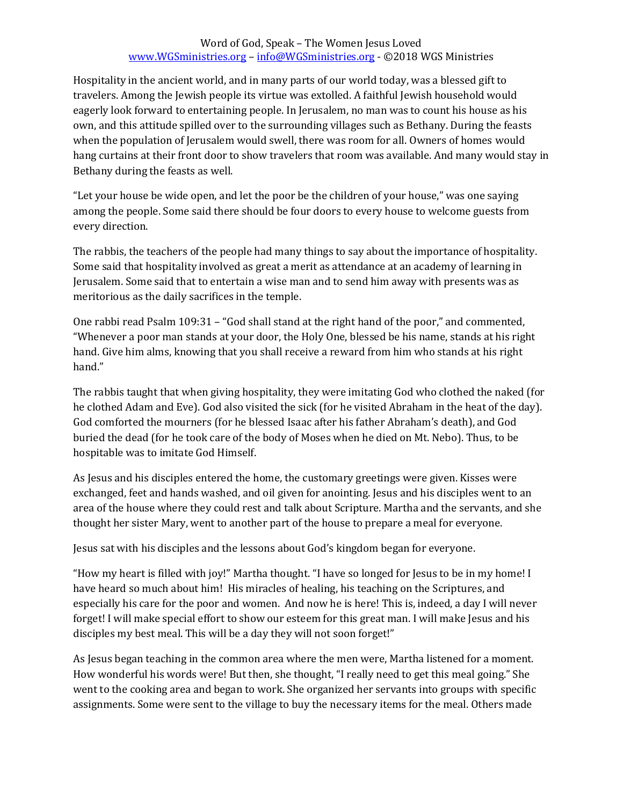### Word of God, Speak – The Women Jesus Loved [www.WGSministries.org](http://www.wgsministries.org/) – [info@WGSministries.org](mailto:info@WGSministries.org) - ©2018 WGS Ministries

Hospitality in the ancient world, and in many parts of our world today, was a blessed gift to travelers. Among the Jewish people its virtue was extolled. A faithful Jewish household would eagerly look forward to entertaining people. In Jerusalem, no man was to count his house as his own, and this attitude spilled over to the surrounding villages such as Bethany. During the feasts when the population of Jerusalem would swell, there was room for all. Owners of homes would hang curtains at their front door to show travelers that room was available. And many would stay in Bethany during the feasts as well.

"Let your house be wide open, and let the poor be the children of your house," was one saying among the people. Some said there should be four doors to every house to welcome guests from every direction.

The rabbis, the teachers of the people had many things to say about the importance of hospitality. Some said that hospitality involved as great a merit as attendance at an academy of learning in Jerusalem. Some said that to entertain a wise man and to send him away with presents was as meritorious as the daily sacrifices in the temple.

One rabbi read Psalm 109:31 – "God shall stand at the right hand of the poor," and commented, "Whenever a poor man stands at your door, the Holy One, blessed be his name, stands at his right hand. Give him alms, knowing that you shall receive a reward from him who stands at his right hand."

The rabbis taught that when giving hospitality, they were imitating God who clothed the naked (for he clothed Adam and Eve). God also visited the sick (for he visited Abraham in the heat of the day). God comforted the mourners (for he blessed Isaac after his father Abraham's death), and God buried the dead (for he took care of the body of Moses when he died on Mt. Nebo). Thus, to be hospitable was to imitate God Himself.

As Jesus and his disciples entered the home, the customary greetings were given. Kisses were exchanged, feet and hands washed, and oil given for anointing. Jesus and his disciples went to an area of the house where they could rest and talk about Scripture. Martha and the servants, and she thought her sister Mary, went to another part of the house to prepare a meal for everyone.

Jesus sat with his disciples and the lessons about God's kingdom began for everyone.

"How my heart is filled with joy!" Martha thought. "I have so longed for Jesus to be in my home! I have heard so much about him! His miracles of healing, his teaching on the Scriptures, and especially his care for the poor and women. And now he is here! This is, indeed, a day I will never forget! I will make special effort to show our esteem for this great man. I will make Jesus and his disciples my best meal. This will be a day they will not soon forget!"

As Jesus began teaching in the common area where the men were, Martha listened for a moment. How wonderful his words were! But then, she thought, "I really need to get this meal going." She went to the cooking area and began to work. She organized her servants into groups with specific assignments. Some were sent to the village to buy the necessary items for the meal. Others made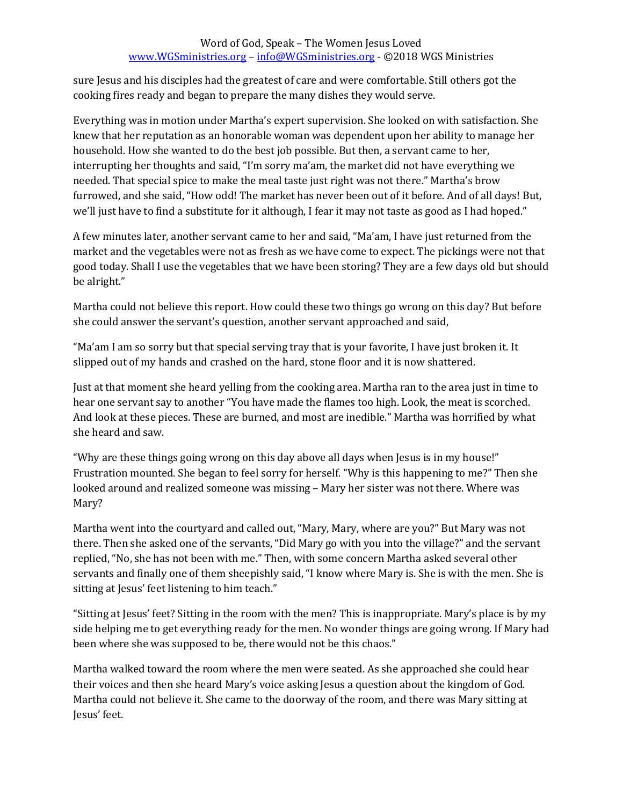### Word of God, Speak – The Women Jesus Loved [www.WGSministries.org](http://www.wgsministries.org/) – [info@WGSministries.org](mailto:info@WGSministries.org) - ©2018 WGS Ministries

sure Jesus and his disciples had the greatest of care and were comfortable. Still others got the cooking fires ready and began to prepare the many dishes they would serve.

Everything was in motion under Martha's expert supervision. She looked on with satisfaction. She knew that her reputation as an honorable woman was dependent upon her ability to manage her household. How she wanted to do the best job possible. But then, a servant came to her, interrupting her thoughts and said, "I'm sorry ma'am, the market did not have everything we needed. That special spice to make the meal taste just right was not there." Martha's brow furrowed, and she said, "How odd! The market has never been out of it before. And of all days! But, we'll just have to find a substitute for it although, I fear it may not taste as good as I had hoped."

A few minutes later, another servant came to her and said, "Ma'am, I have just returned from the market and the vegetables were not as fresh as we have come to expect. The pickings were not that good today. Shall I use the vegetables that we have been storing? They are a few days old but should be alright."

Martha could not believe this report. How could these two things go wrong on this day? But before she could answer the servant's question, another servant approached and said,

"Ma'am I am so sorry but that special serving tray that is your favorite, I have just broken it. It slipped out of my hands and crashed on the hard, stone floor and it is now shattered.

Just at that moment she heard yelling from the cooking area. Martha ran to the area just in time to hear one servant say to another "You have made the flames too high. Look, the meat is scorched. And look at these pieces. These are burned, and most are inedible." Martha was horrified by what she heard and saw.

"Why are these things going wrong on this day above all days when Jesus is in my house!" Frustration mounted. She began to feel sorry for herself. "Why is this happening to me?" Then she looked around and realized someone was missing – Mary her sister was not there. Where was Mary?

Martha went into the courtyard and called out, "Mary, Mary, where are you?" But Mary was not there. Then she asked one of the servants, "Did Mary go with you into the village?" and the servant replied, "No, she has not been with me." Then, with some concern Martha asked several other servants and finally one of them sheepishly said, "I know where Mary is. She is with the men. She is sitting at Jesus' feet listening to him teach."

"Sitting at Jesus' feet? Sitting in the room with the men? This is inappropriate. Mary's place is by my side helping me to get everything ready for the men. No wonder things are going wrong. If Mary had been where she was supposed to be, there would not be this chaos."

Martha walked toward the room where the men were seated. As she approached she could hear their voices and then she heard Mary's voice asking Jesus a question about the kingdom of God. Martha could not believe it. She came to the doorway of the room, and there was Mary sitting at Jesus' feet.